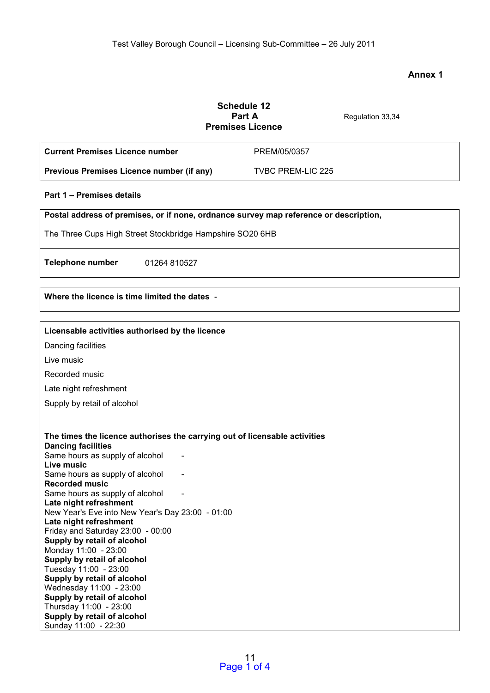# **Annex 1**

|                                                                                                                                                          | <b>Schedule 12</b><br>Part A<br><b>Premises Licence</b> | Regulation 33,34 |
|----------------------------------------------------------------------------------------------------------------------------------------------------------|---------------------------------------------------------|------------------|
| <b>Current Premises Licence number</b>                                                                                                                   | PREM/05/0357                                            |                  |
| Previous Premises Licence number (if any)                                                                                                                | <b>TVBC PREM-LIC 225</b>                                |                  |
| Part 1 - Premises details                                                                                                                                |                                                         |                  |
| Postal address of premises, or if none, ordnance survey map reference or description,                                                                    |                                                         |                  |
| The Three Cups High Street Stockbridge Hampshire SO20 6HB                                                                                                |                                                         |                  |
| <b>Telephone number</b><br>01264 810527                                                                                                                  |                                                         |                  |
| Where the licence is time limited the dates -                                                                                                            |                                                         |                  |
| Licensable activities authorised by the licence                                                                                                          |                                                         |                  |
| Dancing facilities                                                                                                                                       |                                                         |                  |
| Live music                                                                                                                                               |                                                         |                  |
| Recorded music                                                                                                                                           |                                                         |                  |
| Late night refreshment                                                                                                                                   |                                                         |                  |
| Supply by retail of alcohol                                                                                                                              |                                                         |                  |
| The times the licence authorises the carrying out of licensable activities<br><b>Dancing facilities</b><br>Same hours as supply of alcohol<br>Live music |                                                         |                  |
| Same hours as supply of alcohol                                                                                                                          |                                                         |                  |
| <b>Recorded music</b>                                                                                                                                    |                                                         |                  |
| Same hours as supply of alcohol<br>Late night refreshment                                                                                                |                                                         |                  |
| New Year's Eve into New Year's Day 23:00 - 01:00                                                                                                         |                                                         |                  |
| Late night refreshment                                                                                                                                   |                                                         |                  |
| Friday and Saturday 23:00 - 00:00<br>Supply by retail of alcohol                                                                                         |                                                         |                  |
| Monday 11:00 - 23:00                                                                                                                                     |                                                         |                  |
| Supply by retail of alcohol                                                                                                                              |                                                         |                  |
| Tuesday 11:00 - 23:00                                                                                                                                    |                                                         |                  |
| Supply by retail of alcohol                                                                                                                              |                                                         |                  |
| Wednesday 11:00 - 23:00<br>Supply by retail of alcohol                                                                                                   |                                                         |                  |
| Thursday 11:00 - 23:00                                                                                                                                   |                                                         |                  |
| Supply by retail of alcohol                                                                                                                              |                                                         |                  |
| Sunday 11:00 - 22:30                                                                                                                                     |                                                         |                  |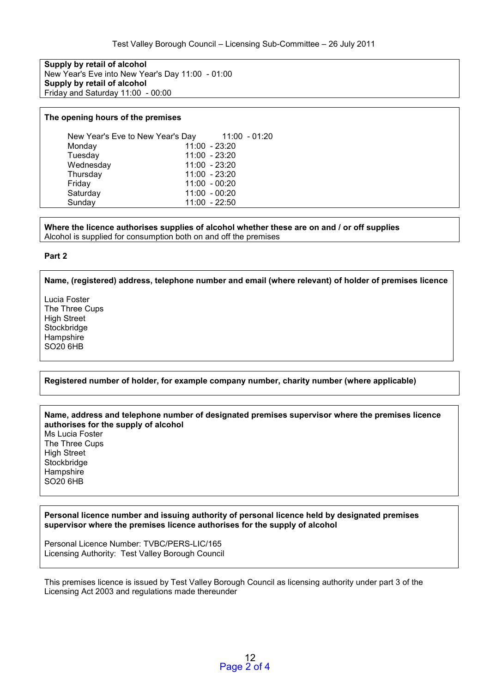**Supply by retail of alcohol**  New Year's Eve into New Year's Day 11:00 - 01:00 **Supply by retail of alcohol**  Friday and Saturday 11:00 - 00:00

#### **The opening hours of the premises**

| New Year's Eve to New Year's Day | $11:00 - 01:20$ |
|----------------------------------|-----------------|
| Monday                           | $11:00 - 23:20$ |
| Tuesday                          | 11:00 - 23:20   |
| Wednesday                        | $11:00 - 23:20$ |
| Thursday                         | $11:00 - 23:20$ |
| Friday                           | $11:00 - 00:20$ |
| Saturday                         | $11:00 - 00:20$ |
| Sunday                           | $11:00 - 22:50$ |

**Where the licence authorises supplies of alcohol whether these are on and / or off supplies**  Alcohol is supplied for consumption both on and off the premises

#### **Part 2**

**Name, (registered) address, telephone number and email (where relevant) of holder of premises licence** 

Lucia Foster The Three Cups High Street **Stockbridge Hampshire** SO20 6HB

**Registered number of holder, for example company number, charity number (where applicable)** 

**Name, address and telephone number of designated premises supervisor where the premises licence authorises for the supply of alcohol**  Ms Lucia Foster The Three Cups High Street **Stockbridge Hampshire** SO20 6HB

**Personal licence number and issuing authority of personal licence held by designated premises supervisor where the premises licence authorises for the supply of alcohol** 

Personal Licence Number: TVBC/PERS-LIC/165 Licensing Authority: Test Valley Borough Council

This premises licence is issued by Test Valley Borough Council as licensing authority under part 3 of the Licensing Act 2003 and regulations made thereunder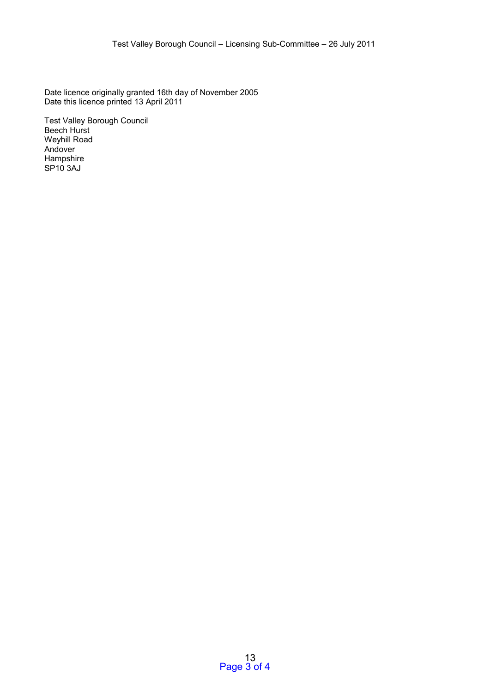Date licence originally granted 16th day of November 2005 Date this licence printed 13 April 2011

Test Valley Borough Council Beech Hurst Weyhill Road Andover **Hampshire** SP10 3AJ